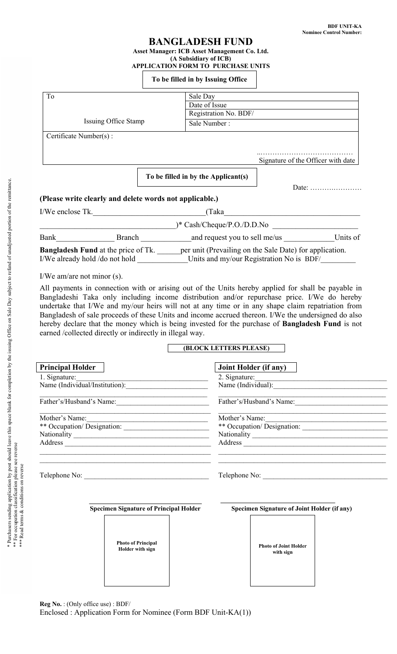# **BANGLADESH FUND**

#### **Asset Manager: ICB Asset Management Co. Ltd. (A Subsidiary of ICB) APPLICATION FORM TO PURCHASE UNITS**

#### **To be filled in by Issuing Office**

| To                             |                                                         | Sale Day                                                                                           |                                    |
|--------------------------------|---------------------------------------------------------|----------------------------------------------------------------------------------------------------|------------------------------------|
|                                |                                                         | Date of Issue                                                                                      |                                    |
|                                |                                                         | Registration No. BDF/                                                                              |                                    |
| Issuing Office Stamp           |                                                         | Sale Number:                                                                                       |                                    |
| Certificate Number(s):         |                                                         |                                                                                                    |                                    |
|                                |                                                         |                                                                                                    | Signature of the Officer with date |
|                                |                                                         | To be filled in by the Applicant(s)                                                                |                                    |
|                                |                                                         |                                                                                                    |                                    |
|                                | (Please write clearly and delete words not applicable.) |                                                                                                    |                                    |
|                                | I/We enclose Tk.                                        | (Taka                                                                                              |                                    |
|                                |                                                         | $)*$ Cash/Cheque/P.O./D.D.No                                                                       |                                    |
|                                | Bank Branch                                             | and request you to sell me/us                                                                      | Units of                           |
|                                |                                                         | <b>Bangladesh Fund</b> at the price of Tk. per unit (Prevailing on the Sale Date) for application. |                                    |
| I/We already hold /do not hold |                                                         | Units and my/our Registration No is BDF/                                                           |                                    |

I/We am/are not minor (s).

All payments in connection with or arising out of the Units hereby applied for shall be payable in Bangladeshi Taka only including income distribution and/or repurchase price. I/We do hereby undertake that I/We and my/our heirs will not at any time or in any shape claim repatriation from Bangladesh of sale proceeds of these Units and income accrued thereon. I/We the undersigned do also hereby declare that the money which is being invested for the purchase of **Bangladesh Fund** is not earned /collected directly or indirectly in illegal way.

## **(BLOCK LETTERS PLEASE)**

| <b>Principal Holder</b>  | <b>Joint Holder (if any)</b> |
|--------------------------|------------------------------|
| 1. Signature:            | 2. Signature: $\frac{1}{2}$  |
|                          |                              |
| Father's/Husband's Name: | Father's/Husband's Name:     |
| Mother's Name:           | Mother's Name:               |
|                          |                              |
|                          |                              |
|                          | Address                      |
| Telephone No:            | Telephone No:                |
|                          |                              |

**Specimen Signature of Principal Holder** 

**Photo of Principal Holder with sign** 

|  | Specimen Signature of Joint Holder (if any) |  |  |  |
|--|---------------------------------------------|--|--|--|
|--|---------------------------------------------|--|--|--|

**Photo of Joint Holder with sign** 

| ì<br>ì<br>י<br>I<br>ì<br>l<br>J<br>i<br>ļ<br>ţ<br>֖֖֖֧ׅ֧֖֖֧֪֪֪ׅ֪֪֪ׅ֖֧֚֚֚֚֚֚֚֚֚֚֚֚֚֚֚֚֚֚֚֚֚֚֚֚֚֚֚֚֚֚֚֚֚֬֝֝֬֝֓֞֓֝<br>i<br>j<br>ne ac<br>ţ<br>t<br>¢<br>í<br>1<br>i<br>$\ddot{\dot{\ }}$<br>$\ddot{\phantom{0}}$<br>j<br>i<br>C<br>ı<br>ļ<br>١<br>cc<br>j<br>$\frac{1}{2}$<br>I<br>é |
|-----------------------------------------------------------------------------------------------------------------------------------------------------------------------------------------------------------------------------------------------------------------------------------|
| ֧ׅ֧֧֧ׅ֧֧֚֚֚֚֚֚֚֚֚֚֚֚֚֚֚֚֚֚֚֚֚֚֚֚֚֚֚֚֚֚֚֬֡֡֓֡֓֡֓֡֓֡֓֡֓֡֡֬֓֞֓֡֓֓֞֓֞֓֝֬<br>ļ<br>י<br>י<br>S<br>I<br>$\frac{1}{2}$<br>ļ<br>i<br>١<br>I<br>l<br>֠<br>i<br>j<br>¢<br>I<br>į                                                                                                             |
| č.<br>ı<br>٠,<br>$\ddot{\phantom{a}}$<br>S<br>ׇ֚֬֕֡<br>l<br>l<br>C + C + C +<br>į<br>I<br>$\overline{ }$<br>l<br>i<br>ė<br>ì<br>Ē                                                                                                                                                 |

**Reg No.** : (Only office use) : BDF/

Enclosed : Application Form for Nominee (Form BDF Unit-KA(1))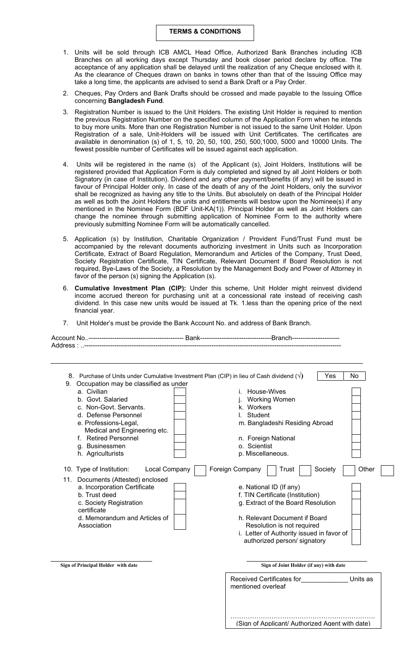#### **TERMS & CONDITIONS**

- 1. Units will be sold through ICB AMCL Head Office, Authorized Bank Branches including ICB Branches on all working days except Thursday and book closer period declare by office. The acceptance of any application shall be delayed until the realization of any Cheque enclosed with it. As the clearance of Cheques drawn on banks in towns other than that of the Issuing Office may take a long time, the applicants are advised to send a Bank Draft or a Pay Order.
- 2. Cheques, Pay Orders and Bank Drafts should be crossed and made payable to the Issuing Office concerning **Bangladesh Fund**.
- 3. Registration Number is issued to the Unit Holders. The existing Unit Holder is required to mention the previous Registration Number on the specified column of the Application Form when he intends to buy more units. More than one Registration Number is not issued to the same Unit Holder. Upon Registration of a sale, Unit-Holders will be issued with Unit Certificates. The certificates are available in denomination (s) of 1, 5, 10, 20, 50, 100, 250, 500,1000, 5000 and 10000 Units. The fewest possible number of Certificates will be issued against each application.
- 4. Units will be registered in the name (s) of the Applicant (s), Joint Holders, Institutions will be registered provided that Application Form is duly completed and signed by all Joint Holders or both Signatory (in case of Institution). Dividend and any other payment/benefits (if any) will be issued in favour of Principal Holder only. In case of the death of any of the Joint Holders, only the survivor shall be recognized as having any title to the Units. But absolutely on death of the Principal Holder as well as both the Joint Holders the units and entitlements will bestow upon the Nominee(s) if any mentioned in the Nominee Form (BDF Unit-KA(1)). Principal Holder as well as Joint Holders can change the nominee through submitting application of Nominee Form to the authority where previously submitting Nominee Form will be automatically cancelled.
- 5. Application (s) by Institution, Charitable Organization / Provident Fund/Trust Fund must be accompanied by the relevant documents authorizing investment in Units such as Incorporation Certificate, Extract of Board Regulation, Memorandum and Articles of the Company, Trust Deed, Society Registration Certificate, TIN Certificate, Relevant Document if Board Resolution is not required, Bye-Laws of the Society, a Resolution by the Management Body and Power of Attorney in favor of the person (s) signing the Application (s).
- 6. **Cumulative Investment Plan (CIP):** Under this scheme, Unit Holder might reinvest dividend income accrued thereon for purchasing unit at a concessional rate instead of receiving cash dividend. In this case new units would be issued at Tk. 1.less than the opening price of the next financial year.
- 7. Unit Holder's must be provide the Bank Account No. and address of Bank Branch.

| 8. Purchase of Units under Cumulative Investment Plan (CIP) in lieu of Cash dividend $(\sqrt)$ |               |                                           | No<br>Yes |
|------------------------------------------------------------------------------------------------|---------------|-------------------------------------------|-----------|
| Occupation may be classified as under<br>9.                                                    |               |                                           |           |
| a. Civilian                                                                                    |               | House-Wives                               |           |
| b. Govt. Salaried                                                                              |               | <b>Working Women</b>                      |           |
| c. Non-Govt. Servants.                                                                         |               | k. Workers                                |           |
| d. Defense Personnel                                                                           |               | Student                                   |           |
| e. Professions-Legal,<br>Medical and Engineering etc.                                          |               | m. Bangladeshi Residing Abroad            |           |
| f. Retired Personnel                                                                           |               | n. Foreign National                       |           |
| g. Businessmen                                                                                 |               | o. Scientist                              |           |
| h. Agriculturists                                                                              |               | p. Miscellaneous.                         |           |
| 10. Type of Institution:<br>11. Documents (Attested) enclosed                                  | Local Company | Foreign Company<br>Society<br>Trust       | Other     |
| a. Incorporation Certificate                                                                   |               | e. National ID (If any)                   |           |
| b. Trust deed                                                                                  |               | f. TIN Certificate (Institution)          |           |
| c. Society Registration                                                                        |               | g. Extract of the Board Resolution        |           |
| certificate<br>d. Memorandum and Articles of                                                   |               | h. Relevant Document if Board             |           |
| Association                                                                                    |               | Resolution is not required                |           |
|                                                                                                |               | i. Letter of Authority issued in favor of |           |
|                                                                                                |               | authorized person/ signatory              |           |
|                                                                                                |               |                                           |           |
| Sign of Principal Holder with date                                                             |               | Sign of Joint Holder (if any) with date   |           |

…………………………………………………………. (Sign of Applicant/ Authorized Agent with date)